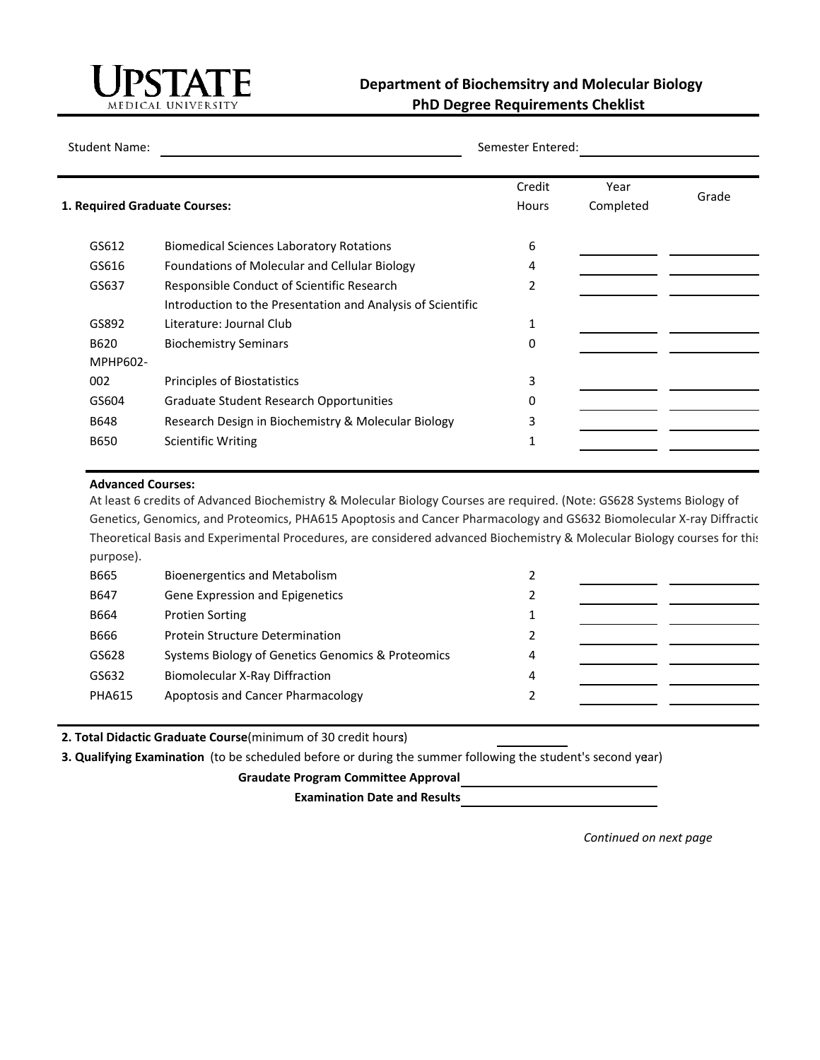

## **Department of Biochemsitry and Molecular Biology PhD Degree Requirements Cheklist**

Student Name:

Semester Entered:

|                               |                                                             | Credit         | Year      | Grade |
|-------------------------------|-------------------------------------------------------------|----------------|-----------|-------|
| 1. Required Graduate Courses: |                                                             | <b>Hours</b>   | Completed |       |
| GS612                         | <b>Biomedical Sciences Laboratory Rotations</b>             | 6              |           |       |
| GS616                         | Foundations of Molecular and Cellular Biology               | 4              |           |       |
| GS637                         | Responsible Conduct of Scientific Research                  | $\overline{2}$ |           |       |
|                               | Introduction to the Presentation and Analysis of Scientific |                |           |       |
| GS892                         | Literature: Journal Club                                    | 1              |           |       |
| B620                          | <b>Biochemistry Seminars</b>                                | 0              |           |       |
| MPHP602-                      |                                                             |                |           |       |
| 002                           | Principles of Biostatistics                                 | 3              |           |       |
| GS604                         | <b>Graduate Student Research Opportunities</b>              | 0              |           |       |
| <b>B648</b>                   | Research Design in Biochemistry & Molecular Biology         | 3              |           |       |
| <b>B650</b>                   | <b>Scientific Writing</b>                                   | 1              |           |       |

## **Advanced Courses:**

At least 6 credits of Advanced Biochemistry & Molecular Biology Courses are required. (Note: GS628 Systems Biology of Genetics, Genomics, and Proteomics, PHA615 Apoptosis and Cancer Pharmacology and GS632 Biomolecular X-ray Diffractic Theoretical Basis and Experimental Procedures, are considered advanced Biochemistry & Molecular Biology courses for this purpose).

| B665          | Bioenergentics and Metabolism                     |   |  |
|---------------|---------------------------------------------------|---|--|
| B647          | Gene Expression and Epigenetics                   |   |  |
| B664          | <b>Protien Sorting</b>                            |   |  |
| B666          | <b>Protein Structure Determination</b>            |   |  |
| GS628         | Systems Biology of Genetics Genomics & Proteomics | 4 |  |
| GS632         | <b>Biomolecular X-Ray Diffraction</b>             | 4 |  |
| <b>PHA615</b> | Apoptosis and Cancer Pharmacology                 |   |  |
|               |                                                   |   |  |

**2. Total Didactic Graduate Course** (minimum of 30 credit hours)**:**

**3. Qualifying Examination** (to be scheduled before or during the summer following the student's second year) **:**

**Graudate Program Committee Approval:**

**Examination Date and Results:**

*Continued on next page*